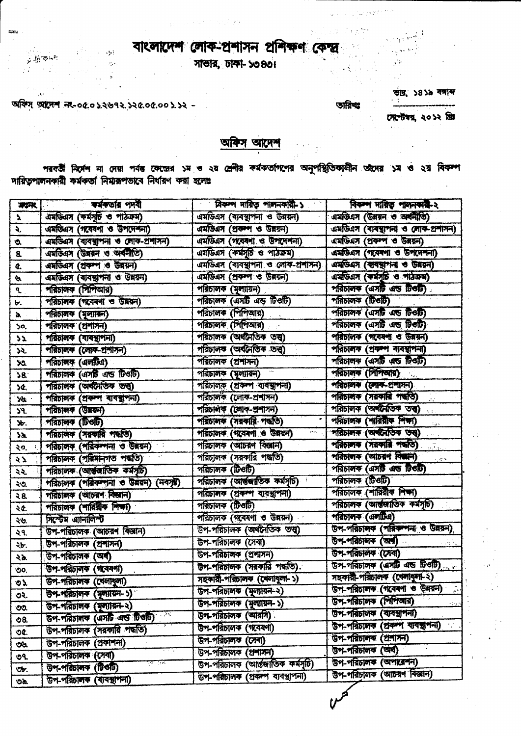## বাংলাদেশ লোক-প্ৰশাসন প্ৰশিক্ষণ কেন্দ্ৰ

and a rest to said to

÷.

 $\sim 350$ 

 $\frac{1}{2}$  ,  $\frac{1}{2}$ 

 $\sim 10^{11}$ 

অফিস্ অস্ত্রদেশ নং-০৫.০১.২৬৭২.১২৫.০৫.০০১.১২ -

بمنجهين

 $\sim$ 

 $\mathcal{L}$ 

 $\mathcal{I}^{\mathcal{A}}$ 

 $\ell=4$ 

 $\sim 10^7$ 

সাভার, ঢাকা- ১৩৪৩।

ভার, ১৪১৯ বসাব্দ  $\mathcal{F}(\mathcal{G})$ 

তারিখঃ

 $\mathcal{F}^{\mathcal{G}}$ 

inger Dysk

সেপ্টেম্বর, ২০১২ খ্রিয়

## অফিস আদেশ

পরবর্তী নির্দেশ না দেয়া পর্যন্ত কেন্দ্রের ১ম ও ২য় শ্রেণীর কর্মকর্তাগণের অনুপস্থিতিকালীন তাদের ১ম ও ২য় বিকল্প দায়িতপালনকারী কর্মকর্তা নিয়ারূপভাবে নির্ধারণ করা হলোঃ

| 漂深              | কৰ্মকৰ্তায় পদবী                        | বিকল দায়িত পাদনকারী-১             | বিকলা দায়িত পালনকার-২                                             |
|-----------------|-----------------------------------------|------------------------------------|--------------------------------------------------------------------|
| $\mathbf{r}$    | এমডিএস (কর্মসূচি ও পাঠক্রম)             | এমডিএস (ব্যবস্থাপনা ও উন্নয়ন)     | এমডিএস (উনয়ন ও অর্থনীতি)                                          |
| ₹.              | এমডিএস (গবেষণা ও উপদেশনা)               | এমডিএস (প্ৰবল্প ও উন্নয়ন)         | এমডিএস (ব্যবস্থাপনা ও লোক-প্ৰশাসন)                                 |
| Ó.              | এমডিএস (ব্যবস্থাপনা ও লোক-প্ৰশাসন)      | এমডিএস (গবেষণা ও উপদেশনা)          | এমডিএস (প্ৰকম্প ও উন্নয়ন)                                         |
| $\mathbf{8}$    | এমডিএস (উন্নয়ন ও অর্থনীতি)             | এমডিএস (কর্মসূচি ও পাঠক্রম)        | अमलियम (गरवरणा ও উপদেশনা)                                          |
| ¢.              | এমডিএস (শ্রকম্প ও উন্নয়ন)              | এমডিএস (ব্যবস্থাপনা ও লোক-প্রশাসন) | अमेजियम (बाबच्चान्ना ও उब्रयन)                                     |
| A               | এমডিএস (ব্যবস্থাপনা ও উন্নয়ন)          | এমডিএস (প্ৰবৰণ ও উন্নয়ন)          | এমডিএস (কর্মসূচি ও পাঠকম)                                          |
| ٩.              | পরিচালক (শিশিআর)                        | পরিচালক (মূল্যায়ন)                | পরিচালক (এসটি এন্ড টিওটি)                                          |
| ৮.              | পরিচালক (গবেষণা ও উন্নয়ন)              | পরিচালক (এসটি এন্ড টিওটি)          | শরিচালক (টিওটি)                                                    |
| à.              | পরিচালক (মূল্যায়ন)                     | পরিচালক (পিশিআর)                   | পরিচালক (এসটি এন্ড টিওটি)                                          |
| 50,             | শরিচালক (প্রশাসন)                       | পরিচালক (শিশিআর)                   | পরিচালক (এসটি এন্ড টিওটি)                                          |
| $\mathbf{z}$    | পরিচালক (ব্যবস্থাপনা)                   | পরিচালক (অর্থনৈতিক তথ্ব)           | পরিচালক (গবেষণা ও উন্নয়ন)                                         |
| ১২.             | পরিচালক (লোক-প্রশাসন)                   | পরিচালক (অর্থনৈতিক তত্ত্ব)         | পরিচালক (প্রকম্প ব্যবস্থাপনা)                                      |
| XO.             | পরিচালক (এলটিএ)                         | পরিচালক (প্রশাসন)                  | পরিচালক (এসটি এন্ড টিওটি)                                          |
| 38 <sup>°</sup> | পরিচালক (এসটি এন্ড টিওটি)               | পরিচালক (মূল্যায়ন)                | পরিচালক (পিশিআর)                                                   |
| 5¢.             | পরিচালক (অর্থনৈতিক তত্ত্ব)              | পরিচালক (প্রবর্ষণ ব্যবস্থাপনা)     | পরিচালক (লোক-প্রশাসন)                                              |
| M               | পরিচালক (প্রকল ব্যবস্থাপনা)             | পরিচালক (লোক-প্রশাসন)              | পরিচালক (সরকারি পদ্ধতি)<br>$\mathcal{A}^{\text{int}}_{\text{int}}$ |
| 59.             | পরিচালক (উমরল)                          | পরিচালক (জোক-প্রশাসন)              | পরিচালক (অর্থনৈতিক তত্ত্ব)<br>sia,                                 |
| Ъ.              | পরিচালক (টিওটি)                         | পরিচালক (সরকারি পদ্ধতি)            | পরিচালক (শারিয়াক শিক্ষা)<br>$\mathbb{E}_{\Delta}$ .               |
| ነአ.             | পরিচালক (সরকারি পদ্ধতি)                 | পরিচালক (গবেষণা ও উন্নয়ন)<br>2375 | পরিচালক (অর্থনৈতিক তথ্ড)                                           |
| ২০.             | পরিচালক (পরিকম্পনা ও উন্নয়ন)           | পরিচালক (আচরণ বিজ্ঞান)             | পরিচালক (সরকারি পদ্ধতি)                                            |
| لأبة            | পরিচালক (পরিমানগত পদ্ধতি)               | পরিচালক (সরকারি পদ্ধতি)            | পরিচালক (আচরণ বিজ্ঞান)<br>$\sim 55$                                |
| રસ              | পরিচালক (আর্তুজাতিক কর্মসূচি)           | পরিচালক (টিওটি)                    | পরিচালক (এসটি এন্ড টিওটি)                                          |
| ২৩.             | পরিচালক (পরিকল্পনা ও উন্নয়ন) (নবসৃষ্ট) | পরিচালক (আর্তজাতিক কর্মসূচি)       | পরিচালক (টিওটি)                                                    |
| - 35            | পরিচালক (আচরণ বিজ্ঞান)                  | পরিচালক (প্রকম্প ব্যবস্থাপনা)      | পরিচালক (শারিরীক শিক্ষা)                                           |
| ২৫.             | পরিচালক (শারিরীক শিক্ষা)                | পরিচালক (টিওটি)                    | পরিচালক (আন্তলাতিক কর্মসূচি)                                       |
| ২৬.             | সিপ্টেম এ্যানালিম্ট                     | পরিচালক (গবেষণা ও উন্নয়ন)         | পরিচালক (এলটিএ)                                                    |
| ২৭.             | উপ-পরিচালক (আচরণ বিজ্ঞান)               | উপ-পরিচালক (অর্থনৈতিক তত্ত্ব)      | উপ-পরিচালক (পরিকর্মনা ও উন্নয়ন)                                   |
| ২৮.             | উপ-পরিচালক (প্রশাসন)                    | উপ-পরিচালক (সেবা)                  | উপ-পরিচালক (অব)<br><b>Service</b>                                  |
| ২৯.             | উপ-পরিচালক (অর্থ)                       | উপ-পরিচালক (প্রশাসন)               | উপ-পরিচালক (সেবা)                                                  |
| ৩০,             | উপ-পরিচালক (গবেষণা)                     | উপ-পরিচালক (সরকারি পদ্ধতি).        | উপ-পরিচালক (এসটি এন্ড টিওটি)                                       |
| ৩১              | উপ-পরিচালক (খেলাধুলা)                   | সহকারী-পরিচালক (খেলাধুলা-১)        | সহকারী-পরিচালক (খেলাধুলা-২)                                        |
| رہی             | উপ-পরিচালক (মূল্যায়ন-১)                | উপ-পরিচালক (মূল্যায়ন-২)           | উপ-পরিচালক (গবেৰণা ও উন্নয়ন)                                      |
| OO.             | উপ-পরিচালক (মুল্যায়ন-২)                | উপ-পরিচালক (মৃগ্যায়ন-১)           | উপ-পরিচালক (শিশিআর)<br>ed kalik                                    |
| $0.5$           | উপ-পরিচালক (এসটি এন্ড চিওটি)            | উপ-পরিচালক (আরসি)                  | উপ-পরিচালক (ব্যবস্থাপনা)                                           |
| OC.             | উপ-পরিচালক (সরকারি পদ্ধতি)              | উপ-পরিচালক (গবেষণা)                | উপ-পরিচালক (প্রকম্প ব্যবস্থাপনা)                                   |
| $\mathfrak{B}$  | উপ-পরিচালক (প্রকাশনা)                   | উপ-পরিচালক (সেবা)                  | উপ-পরিচালক (প্রশাসন)                                               |
| 99.             | উপ-পরিচালক (সেবা)                       | উপ-পরিচালক (প্রশাসন)               | উপ-পরিচালক (অর্থ)                                                  |
| <b>Ob.</b>      | <u>क्या प्रभा</u><br>উপ-পরিচালক (টিওটি) | উপ-পরিচালক (আর্ন্তজাতিক কর্মসূচি)  | উপ-পরিচালক (অপারেশন)                                               |
| $\sim$          | উপ-পত্তিচালক (বাবস্থাপনা)               | উপ-পরিচালক (প্রকলপ ব্যবস্থাপনা)    | উপ-পরিচালক (আচরণ বিজ্ঞান)                                          |

 $\bar{\bar{z}}$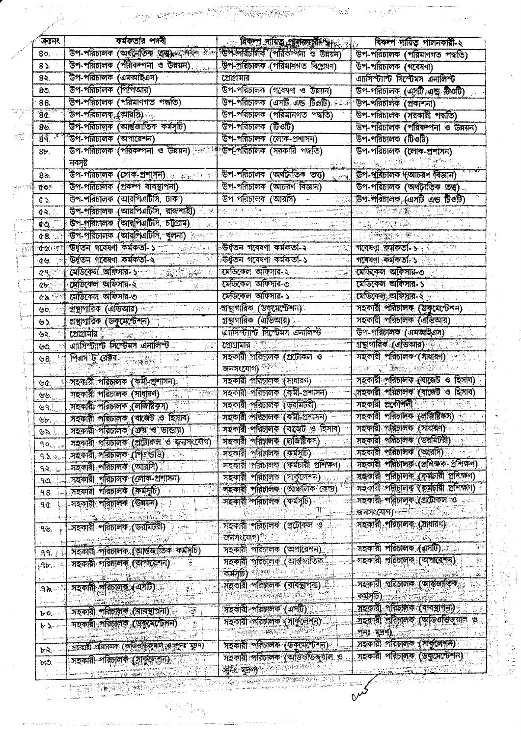|                               | কৰ্মকতার পদবী<br>উপ-পরিচালক (অর্থনৈতিক ত্রুত্র) আদি কার্য                                   | নিকল দায়িত প্ৰাৰম্ভয়ী আৰু<br>ডিপ-পরিচালক (পরিকল্পনা ও উন্নয়ন)                                                                                                                                                                                                       | বিকল দায়িত পালনকারী-২                                                                                                                                                                                                                                     |
|-------------------------------|---------------------------------------------------------------------------------------------|------------------------------------------------------------------------------------------------------------------------------------------------------------------------------------------------------------------------------------------------------------------------|------------------------------------------------------------------------------------------------------------------------------------------------------------------------------------------------------------------------------------------------------------|
| 8०,∘                          | উপ-পরিচালক (পরিকন্পনা ও উন্নয়ন).                                                           |                                                                                                                                                                                                                                                                        | উপ-পরিচালক (পরিমানগত পদ্ধতি)                                                                                                                                                                                                                               |
| $8\lambda$                    | উপ-পরিচালক (এমআইএস)                                                                         | উপ-প্ৰৱিচালক (পৰিমাণগত বিশ্লেষণ)                                                                                                                                                                                                                                       | উপ-পরিচালক (গবেষণা)                                                                                                                                                                                                                                        |
| 82.                           |                                                                                             | গ্রোগ্রামার                                                                                                                                                                                                                                                            | এ্যাসিস্ট্যান্ট সিস্টেমস এনালিস্ট                                                                                                                                                                                                                          |
| 80.                           | উপ-পরিচালক (পিপিআর)                                                                         | উপ-পরিচালক (গবেষণা ও উন্নয়ন)                                                                                                                                                                                                                                          | উপ-পরিচালক (এসটি এছ টিওটি)                                                                                                                                                                                                                                 |
| 88.                           | উপ-পরিচালক (পরিমানগত পদ্ধতি)                                                                | উপ-পরিচালক (এসটি এন্ড টিওটি) নকর                                                                                                                                                                                                                                       | উপ-পরিচালক (প্রকাশনা)                                                                                                                                                                                                                                      |
| 8¢.                           | উপ-পরিচালক (আরসি)                                                                           | উপ-পরিচালক (পরিমানগত পদ্ধতি)                                                                                                                                                                                                                                           | উপ-পরিচালক (সরকারী পদ্ধতি)                                                                                                                                                                                                                                 |
| 85.                           | উপ-পরিচালক (আর্ন্তজাতিক কর্মসূচি)                                                           | উপ-পরিচালক (টিওটি)                                                                                                                                                                                                                                                     | উপ-পরিচালক (পরিকম্পনা ও উন্নয়ন)                                                                                                                                                                                                                           |
| 89.7                          | উপ-পরিচালক (অপারেশন)                                                                        | উপ-পরিচালক (লোক-প্রশাসন)                                                                                                                                                                                                                                               | উপ-পরিচালক (টিওটি)                                                                                                                                                                                                                                         |
| $8b$ .                        | উপ-পরিচালক (পরিকম্পনা ও উন্নয়ন) <sup>1498</sup> ার্শ উপ-পরিচালক (সরকারি পদ্ধতি)<br>নবসৃষ্ট |                                                                                                                                                                                                                                                                        | উপ-পরিচালক (লোক-প্রশাসন)<br>the start of the property of the control of the control of the control of the control of the control of the control of the control of the control of the control of the control of the control of the control of the control o |
| 8৯.                           | উপ-পরিচালক (লোক-প্রশাসন) করা সামা                                                           | উপ-পরিচালক (অর্থনৈতিক তত্ত্ব)<br>√ં″ગે.                                                                                                                                                                                                                                | উপ-পরিচালক (আচরণ বিজ্ঞান)                                                                                                                                                                                                                                  |
| $\alpha$ $\sim$               | উপ-পরিচালক (প্রকর্মণ ব্যবস্থাপনা)                                                           | উপ-পরিচালক (আচরণ বিজ্ঞান)                                                                                                                                                                                                                                              | উপ-পরিচালক (অর্থনৈতিক তত্ত)                                                                                                                                                                                                                                |
| Q 5.                          | উপ-পরিচালক (আরপিএটিসি, ঢাকা)                                                                | উপ-পরিচালক (আরসি)<br>$\frac{1}{2}$                                                                                                                                                                                                                                     | উপ-পরিচালক, (এসটি এন্ড টিওটি)                                                                                                                                                                                                                              |
| $Q \geqslant 1$               | উপ-পরিচালক (আরপিএটিসি, রাজশাহী)                                                             |                                                                                                                                                                                                                                                                        | 医心室缓慢                                                                                                                                                                                                                                                      |
| $\alpha$ .                    | উপ-পরিচালক (আরপিএটিসি, চট্টগ্রাম)                                                           |                                                                                                                                                                                                                                                                        | <u>agusta de</u>                                                                                                                                                                                                                                           |
|                               | উপ-পরিচালক (আরপিএটিসি, খুলনা)                                                               | 2. 継ぎさむ                                                                                                                                                                                                                                                                | <b>STANDARD CAP</b>                                                                                                                                                                                                                                        |
| 48.1                          | উৰ্থতন গবেষণা কৰ্মকতা-১                                                                     | উৰ্ধতন গবেষণা কৰ্মকতা-২                                                                                                                                                                                                                                                | গবেষণা কৰ্মকৰ্তা-১                                                                                                                                                                                                                                         |
| <b>dair</b>                   |                                                                                             |                                                                                                                                                                                                                                                                        |                                                                                                                                                                                                                                                            |
| $d\mathfrak{B}$               | উন্নতন গবেষণা কৰ্মকতা-২ বিভিন্ন                                                             | উধুতন গবেষণা কৰ্মকৰ্তা-১                                                                                                                                                                                                                                               | গবেষণা কমকতা- ১                                                                                                                                                                                                                                            |
| $\alpha$ 9,                   | क्रिडिटिय व्यक्तिगांव- २ - क्रिकेटी करके                                                    | ৰমডিকেল অফিসার-২                                                                                                                                                                                                                                                       | মেডিকেল অফিসার-৩                                                                                                                                                                                                                                           |
| $a_{\mathbf{b}}$ .            | মেডিকেল অফিসার-২                                                                            | মেডিকেল অফিসার-৩                                                                                                                                                                                                                                                       | মেডিকেল অফিসার-১                                                                                                                                                                                                                                           |
| $C$ in $\mathbb{R}^n$         | মেডিকেল অফিসার-৩                                                                            | মেডিকেল অফিসার-১                                                                                                                                                                                                                                                       | মেডিকেল অফিয়ার-২                                                                                                                                                                                                                                          |
| $\mathbf{v}$ o,               | গ্রস্থাগারিক (এডিআর) কা<br>躁动的                                                              | গু ছাগারিক (উকুমেন্টেশন)                                                                                                                                                                                                                                               | সহকারী পরিচালক (স্তুকুমেণ্টেশন)                                                                                                                                                                                                                            |
| $\mathcal{B}$                 | গ্রন্থাগারিক (ডকুমেন্টেশন) স                                                                | গ্রন্থাগারিক (এডিআর)                                                                                                                                                                                                                                                   | সহকারী পরিচালক (এডিআর)                                                                                                                                                                                                                                     |
| ৬২.                           | C21211117                                                                                   | আসিস্ট্যান্ট সিস্টেমস এনালিস্ট                                                                                                                                                                                                                                         | উপ-পরিচালক (এমআইএস)                                                                                                                                                                                                                                        |
| $\psi$                        | <u>এয়সিম্ট্যাণ্ট সিম্টেমস এনালিম্ট :</u>                                                   | শ্ৰেগ্ৰামার শিক্ষা                                                                                                                                                                                                                                                     | গ্ৰন্থাগানিক (এভিআর)                                                                                                                                                                                                                                       |
| 98                            | শিএস টু রেষ্টর ক্ষেত্রত বি                                                                  | সহকারী পরিচালক (প্রটোকল ও<br>জনসংযোগ)                                                                                                                                                                                                                                  | সহকারী পরিচালক (সাধারণ)<br><u> DE STELLANDEN LA</u>                                                                                                                                                                                                        |
| 30<                           | সহকারী পরিচালক (কর্মী-প্রশাসন)                                                              | সহকারী পরিচালক (সাধারণ)                                                                                                                                                                                                                                                | সহকারী পরিচালক (বাজেট ও হিসাব)                                                                                                                                                                                                                             |
| َحِلِي                        | সহকাৰী পৰিচালক (সাধারণ)                                                                     | সহকারী পরিচালক (কর্মী-প্রশাসন) –                                                                                                                                                                                                                                       | ্সহকারী পরিচালক (বাজেট ও হিসাব)                                                                                                                                                                                                                            |
| 39.1                          | সহকারী পরিচালক (লজিষ্টিকস)                                                                  | সহকারী পরিচালক (ভরমিটরী)                                                                                                                                                                                                                                               | সহকারী প্রকৌশলী                                                                                                                                                                                                                                            |
|                               | সহকারী পরিচালক (বাজেট ও হিসাব)                                                              | সহকারী পরিচালক (কর্মী-প্রশাসন) –                                                                                                                                                                                                                                       | সহকারী পরিচালক (লাজিষ্টিকস) করা                                                                                                                                                                                                                            |
| $b$ r.                        | সহকারী পরিচালক (ক্রয় ও ডাডার)                                                              | সহকারী পরিচালক (বাজেট ও হিসাব)                                                                                                                                                                                                                                         | সহকারী পরিচালক (সাধারণ) সহকার                                                                                                                                                                                                                              |
| ৬৯.                           | সহকাৰী পৰিচালক (প্ৰটোকল ও জনসংযোগ)                                                          | সহকারী পরিচালক (লভিষ্টিকস)                                                                                                                                                                                                                                             | সহকারী পরিচালক (ডরমিটরী) স                                                                                                                                                                                                                                 |
| 90.225                        |                                                                                             | সহকারী পরিচালক (কর্মসূচি)                                                                                                                                                                                                                                              | সহকারী পরিচালক (আরসি) বিজয়                                                                                                                                                                                                                                |
| $9.5$ and                     | সহকারী পরিচালক (পিএন্ডডি)                                                                   | সহকারী পরিচালক (কর্মচারী প্রশিক্ষণ)                                                                                                                                                                                                                                    | সহকারী পরিচালক (প্রবিক্ষক প্রশিক্ষণ)                                                                                                                                                                                                                       |
| 32.56                         | সহকারী পরিচালক (আরসি)                                                                       | সহকারী পরিচালক (সাকুলেশন)                                                                                                                                                                                                                                              | সঙ্কারী পরিচালক (কর্মচারী প্রশিক্ষণ)                                                                                                                                                                                                                       |
| . ೧೨                          | সহকারী পরিচালক (লোক-প্রশাসন)                                                                |                                                                                                                                                                                                                                                                        | সহকারী পরিচালক (রুর্মচারী স্থশিক্ষণ)                                                                                                                                                                                                                       |
| 98.                           | সহকারী পরিচালক (কর্মসূচি)<br>h,                                                             | সহকারী পরিচালক (আয়লিক কেন্দ্র)                                                                                                                                                                                                                                        |                                                                                                                                                                                                                                                            |
| $\mathfrak{A} \mathfrak{C}$ . | সহকারী পরিচালক (উন্ময়ন)                                                                    | সহকারী পরিচালক (কর্মসূচি)                                                                                                                                                                                                                                              | সহকারী শরিচালক (প্রটোকল ও<br><b>জনসংযোগ) ভাষা</b> বিশেষ আ                                                                                                                                                                                                  |
| $98 -$                        | -সহকারী পরিচালক (ডরমিটরী)                                                                   | সহকারী পরিচালক (প্রটোকল ও<br>জনসংযোগ) কৰা                                                                                                                                                                                                                              | সহকারী পরিচালক (সাধারণ)                                                                                                                                                                                                                                    |
| 99.71                         | সহকারী পরিচালক (আন্তজাতিক কর্মসূচি)                                                         | সহকারী পরিচালক (অপারেশন)                                                                                                                                                                                                                                               | সহকারী পরিচালক (ঝুসটি), কালি                                                                                                                                                                                                                               |
| ,ԳԵ, ⊸⊹                       | সহকায়ী পুরিচালক (আপারেশন)<br><u>mathematics</u>                                            | সহকারী পরিচালক (আর্ন্তগাতিক—<br>कांश् <b>ठि) अस्ति संस्थान</b>                                                                                                                                                                                                         | সহকারী পরিচালক (অশারেশন)                                                                                                                                                                                                                                   |
| $3 -$                         | si<br>Si<br>সহকারী পরিচালক (এসটি)                                                           | সূহকারী পরিচালক (বাবস্থাপনা) এ<br>The company of the th                                                                                                                                                                                                                | সহকারী পরিচালক (আন্তও্যাতিক্<br>$\overline{(\mathcal{A},\mathcal{B})}$ , and $\overline{(\mathcal{A},\mathcal{B})}$ , and $\overline{(\mathcal{A},\mathcal{B})}$                                                                                           |
|                               | <u> De Nichart (1988)</u><br>সহকারী পরিচালক (বাবস্থাপনা)<br>$\sim 35$                       | সহকারী পরিচালক (এসটি) বিভিন্ন                                                                                                                                                                                                                                          | সহকারী পরিচাপক (বানস্থাগনা)                                                                                                                                                                                                                                |
| ৮০.                           |                                                                                             | সহকারী পরিচালক (সার্শ্রুলেশন)                                                                                                                                                                                                                                          | সহকাৰী পৰিচালক (অভিওতিজ্যাল ও                                                                                                                                                                                                                              |
| سبرج وا                       | সহকারী পরিচালক (ডুকুমেন্টেশন)<br>$\mathcal{Z}$                                              |                                                                                                                                                                                                                                                                        | गुन: सूत्रणी कारण कर कर                                                                                                                                                                                                                                    |
| $b.8 -$                       | সহকাৰী পৰিচালক (অভিওডিজুমাল ও পুনঃ মূদণ)                                                    | সহকারী পরিচালক (ডকুমেন্টেশন)                                                                                                                                                                                                                                           | সহকারী পরিচালক (সার্কুলেশন)                                                                                                                                                                                                                                |
| biJ.                          | সহকারী পরিচালক (সার্বুলেশন)                                                                 | সহকারী পরিচালক (অভিওডিজুয়াল ও<br><b>Arts appear to the company of the company of the company of the company of the company of the company of the company of the company of the company of the company of the company of the company of the company of the company</b> | সহকারী পরিচালক (ডবুসেন্টেশন)                                                                                                                                                                                                                               |

È

 $\begin{split} \mathcal{R}^{(1)}_{\text{R}}(\mathbf{r}_{\text{R}}^{(1)}) & \mathcal{L}_{\text{R}}^{(1)}(\mathbf{r}_{\text{R}}^{(2)}) \\ & \mathcal{L}_{\text{R}}^{(1)}(\mathbf{r}_{\text{R}}^{(2)}) & \mathcal{L}_{\text{R}}^{(2)}(\mathbf{r}_{\text{R}}^{(2)}) \end{split}$ 

 $\mathcal{L}_{\text{G}}$ 

 $\sum_{i=1}^{n-1}$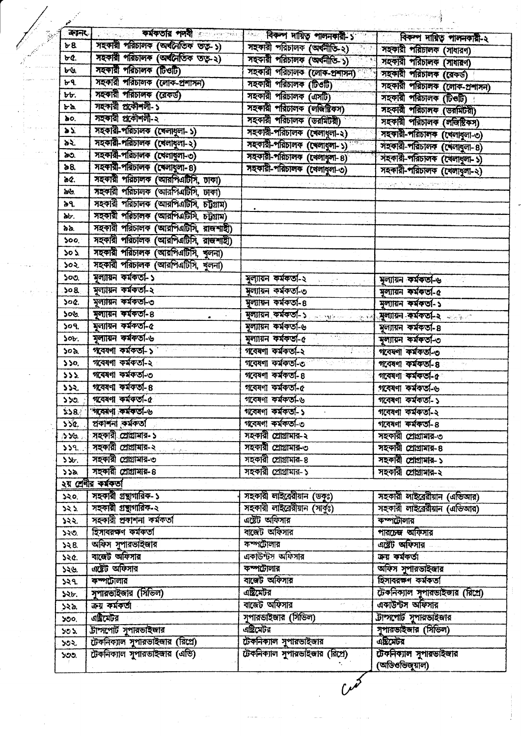| ंकरूनर            | <b>Excellent District Contract of the Second Contract of the Second Contract of the Second Contract of the Second Contract of the Second Contract of the Second Contract of the Second Contract of the Second Contract of the Se</b> | <sup>া</sup> বিকল দায়িত পালনকারী ১ <sup>৩০০</sup> স | বিকল দায়িত পালনকারী-২                   |
|-------------------|--------------------------------------------------------------------------------------------------------------------------------------------------------------------------------------------------------------------------------------|------------------------------------------------------|------------------------------------------|
| b8                | সহকারী পরিচালক (অর্থনৈতিক তত্ত্ব-১)                                                                                                                                                                                                  | সহকারী পরিচালক (অর্থনীতি-২) করা                      | সহকারী পরিচালক (সাধারণ)                  |
| ৮৫.               | সহকারী পরিচালক (অর্থনৈতিক তত্ব-২)                                                                                                                                                                                                    | সহকারী পরিচালক (অর্থনীতি-১)                          | সহকারী পরিচালক (সাধারণ)                  |
| bV.               | সহকারী পরিচালক (টিওটি)                                                                                                                                                                                                               | সহকারী পরিচালক (লোক-প্রশাসন)                         | সহকারী পরিচালক (রেকর্ড)                  |
| ৮৭                | সহকারী পরিচালক (লোক-প্রশাসন)                                                                                                                                                                                                         | সহকারী পরিচালক (টিওটি)                               | সহকারী পরিচালক (লোক-প্রশাসন)             |
| bb.               | সহকারী পরিচালক (রেকর্ড)                                                                                                                                                                                                              | সহকারী পরিচালক (এসটি)                                | সহকারী পরিচালক (টিওটি)                   |
| ৮৯                | সহকারী প্রকৌশলী-১                                                                                                                                                                                                                    | সহকারী পরিচালক (লজিষ্টিকস)                           | সহকারী পরিচালক (ডরমিটরী)                 |
| Ъo.               | সহকারী প্রকৌশলী-২                                                                                                                                                                                                                    | সহকারী পরিচালক (ডরমিটরী)                             | সহকারী পরিচালক (লজিষ্টিকস)               |
| $\mathbf{z}$      | সহকারী-পরিচালক (খেলাধুলা-১)                                                                                                                                                                                                          | সহকারী-পরিচালক (খেলাধুলা-২)                          | সহকারী-পরিচালক (খেলাবুলা-৩)              |
| ১২                | সহকারী-পরিচালক (খেলাধুলা-২)                                                                                                                                                                                                          | সহকারী-পরিচালক (খেলাধুলা-১)                          | সহকারী-পরিচালক (খেলাধুলা-৪)              |
| æo.               | সহকারী-পরিচালক (খেলাধুলা-৩)                                                                                                                                                                                                          | সহকারী-পরিচালক (খেলাধুলা-৪)                          | সহকারী-পরিচালক (খেলাধুলা-১)              |
| ኔ8.               | সহকারী-পরিচালক (ষেলাধুলা-৪)                                                                                                                                                                                                          | সহকারী-পরিচালক (বেলাধুলা-৩)                          | সহকারী-পরিচালক (খেলাধুলা-২)              |
| ae.               | সহকারী পরিচালক (আরপিএটিসি, ঢাকা)                                                                                                                                                                                                     |                                                      | والمراقة الإفرادات والمتحارية والمرادان  |
| ৯৬.               | সহকারী পরিচালক (আরপিএটিসি, ঢাকা)                                                                                                                                                                                                     |                                                      |                                          |
| ৯৭.               | সহকারী পরিচালক (আরপিএটিসি, চট্টগ্রাম)                                                                                                                                                                                                |                                                      |                                          |
| ddr.              | সহকারী পরিচালক (আরপিএটিসি, চট্টগ্রাম)                                                                                                                                                                                                |                                                      |                                          |
| áá.               | সহকারী পরিচালক (আরশিএটিসি, রাজশাহী)                                                                                                                                                                                                  |                                                      |                                          |
| 500               | সহকারী পরিচালক (আরপিএটিসি, রাজশাহী)                                                                                                                                                                                                  |                                                      |                                          |
| ১০১               | সহকারী পরিচালক (আরপিএটিসি, খুলনা)                                                                                                                                                                                                    |                                                      |                                          |
| ১০২.              | সহকারী পরিচালক (আরশিএটিসি, খুলনা)                                                                                                                                                                                                    |                                                      |                                          |
| 500.              | মূল্যায়ন কর্মকর্তা-১                                                                                                                                                                                                                | মূল্যায়ন কর্মকতা-২                                  | মৃল্যায়ন কর্মকর্তা-৬                    |
| 308               | মৃল্যায়ন কৰ্মকতা-২                                                                                                                                                                                                                  | মল্যায়ন কৰ্মকৰ্তা-৩                                 | মৃল্যায়ন কর্মকর্তা-৫                    |
| soc.              | মূল্যায়ন কর্মকর্তা-৩                                                                                                                                                                                                                | মুল্যায়ন কর্মকর্তা-৪                                | মল্যায়ন কৰ্মকৰ্তা-১                     |
| ১০৬               | মৃল্যায়ন কৰ্মকতা-8                                                                                                                                                                                                                  | মৃল্যায়ন কর্মকর্তা-১ সালোচনায়ে                     | সল্যায়ন কর্মকর্তা-২ কালক                |
| 509.              | মূল্যায়ন কৰ্মকৰ্তা-৫                                                                                                                                                                                                                | মৃল্যায়ন কর্মকর্তা-৬                                | মূল্যায়ন কর্মকর্তা-৪                    |
| 50 <sub>t</sub>   | মল্যায়ন কর্মকর্তা-৬                                                                                                                                                                                                                 | <u>राज्यसम्बन्धाः</u><br>মূল্যায়ন কর্মকর্তা-৫       | মৃল্যায়ন কর্মকর্তা-৩                    |
| ১০৯               | গবেষণা কৰ্মকৰ্তা-১                                                                                                                                                                                                                   | গবেষণা কৰ্মকৰ্তা-২<br>लिक निका                       | গবেষণা কৰ্মকৰ্তা-৩                       |
| 550.              | গবেষণা কৰ্মকৰ্তা-২                                                                                                                                                                                                                   | গবেষণা কৰ্মকৰ্তা-৩                                   | গবেষণা কৰ্মকৰ্তা- ৪                      |
| 555.              | গবেষণা কৰ্মকৰ্তা-৩                                                                                                                                                                                                                   | গবেষণা কৰ্মকৰ্তা- ৪                                  | গবেষণা কৰ্মকৰ্তা-৫                       |
| 552.              | গবেষণা কর্মকর্তা- ৪                                                                                                                                                                                                                  | গবেষণা কৰ্মকৰ্তা-৫                                   | গবেষণা কৰ্মকৰ্তা-৬                       |
| 550               | গবেষণা কৰ্মকৰ্তা-৫                                                                                                                                                                                                                   | গবেষণা কৰ্মকৰ্তা-৬                                   | গবেষণা কৰ্মকৰ্তা-১                       |
| 328.              | 'গবেষণা কৰ্মকৰ্তা-৬                                                                                                                                                                                                                  | গবেষণা কৰ্মকৰ্তা-১                                   | গবেষণা কৰ্মকৰ্তা-২                       |
|                   | ১১৫.   প্ৰকাশনা কৰ্মকতা                                                                                                                                                                                                              | গবেষণা কৰ্মকৰ্তা-৩                                   | গবেষণা কৰ্মকতা-৪                         |
| 559.2             | সহকারী সোগ্রামার- ১                                                                                                                                                                                                                  | সহকারী সোগ্রামার-২                                   | সহকারী সোগ্রামার-৩                       |
| 559               | সহকারী প্রোগ্রামার-২                                                                                                                                                                                                                 | সহকারী প্রোগ্রামার-৩                                 | সহকারী সোগ্রামার- ৪                      |
| 5.96 <sub>1</sub> | সহকারী প্রোগ্রামার-৩                                                                                                                                                                                                                 | সহকারী সোগ্রামার-৪                                   | সহকারী প্রোগ্রামার-১                     |
| 558               | সহকারী সোগ্রামার-৪                                                                                                                                                                                                                   | সহকারী প্রোগ্রামার-১                                 | সহকারী সোগ্রামার-২                       |
|                   | ২য় শ্ৰেণীর কর্মকর্তা                                                                                                                                                                                                                |                                                      |                                          |
| ১২০.              | সহকারী গ্রন্থাগারিক-১                                                                                                                                                                                                                | সহকারী লাইবেরীয়ান (ডকুঃ)                            | সহকারী লাইব্রেরীয়ান (এডিআর)             |
| 252               | সহকারী গ্রন্থাগারিক-২                                                                                                                                                                                                                | সহকারী লাইব্রেরীয়ান (সাকুঃ)                         | সহকারী লাইব্রেরীয়ান (এডিআর)             |
| ১২২.              | সহকারী প্রকাশনা কর্মকর্তা                                                                                                                                                                                                            | এষ্টট অফিসার                                         | কম্পটোলার                                |
| ১২৩.              | হিসাবরক্ষণ কর্মকর্তা                                                                                                                                                                                                                 | বাজেট অফিসার                                         | পারচেজ অফিসার                            |
| 358               | অফিস সুশারভাইজার                                                                                                                                                                                                                     | কম্পটোলার                                            | এষ্টেট অফিসার                            |
| 520.              | বাজেট অফিসার                                                                                                                                                                                                                         | একাউন্টস অফিসার                                      | ক্ৰয় কৰ্মকৰ্তা                          |
| ১২৬.              | এটেট অফিসার                                                                                                                                                                                                                          | কম্পটোলার                                            | অফিস সুপারভাইজার                         |
| ১২৭               | কম্পটোলার                                                                                                                                                                                                                            | বাৰেট অফিসার                                         | হিসাবরক্ষণ কর্মকর্তা                     |
| ১২৮.              | সুপারভাইজার (সিভিল)                                                                                                                                                                                                                  | এষ্টিমেটর                                            | টেকনিক্যাল সুপারভাইজার (রিখে)            |
| ১২৯.              | কয় কৰ্মকৰ্তা                                                                                                                                                                                                                        | বাজেট অফিসার                                         | একাউন্টস অফিসার                          |
| ১৩০,              | এষ্টিমেটর                                                                                                                                                                                                                            | সুপারভাইজার (সিভিল)                                  | টাম্পার্ট সুপারভাইজার                    |
| $50\,\mathrm{M}$  | টাম্সপেটি সুপারভাইজার                                                                                                                                                                                                                | এষ্টিমেটর                                            | সুপারভাইজার (সিডিল)                      |
| ১৩২.              | টেকনিক্যাল সুপারভাইজার (রিপ্রে)                                                                                                                                                                                                      | টেকনিক্যাল সুপারভাইজার                               | এছিমেটর                                  |
| YOO.              | টেকনিক্যাল সুপারভাইজার (এভি)                                                                                                                                                                                                         | টেকনিক্যাল সুপারভাইজার (রিপ্রে)                      | টেকনিক্যাল সুপারভাইজার<br>(অডিওভিজুয়াল) |

 $\sim$ 

 $\bar{\beta}$ 

 $\label{eq:1} \frac{1}{\sqrt{2}}\left(\frac{1}{\sqrt{2}}\right)^{1/2}\frac{d\theta}{d\theta} \leq \frac{1}{\sqrt{2}}\frac{d\theta}{d\theta}.$ 

 $\sim \tau_b$ 

 $\sim$ 

 $\sim$   $\sim$   $\omega$  .

 $\mathcal{H}(\mathcal{G}^{(k)})$ 

 $\frac{d}{dt} \left( \frac{d}{dt} \right) \frac{d}{dt}$ 

a ng <sup>mg</sup>a kalalasi.<br>P

 $\mathcal{A}^{\mathcal{A}}$